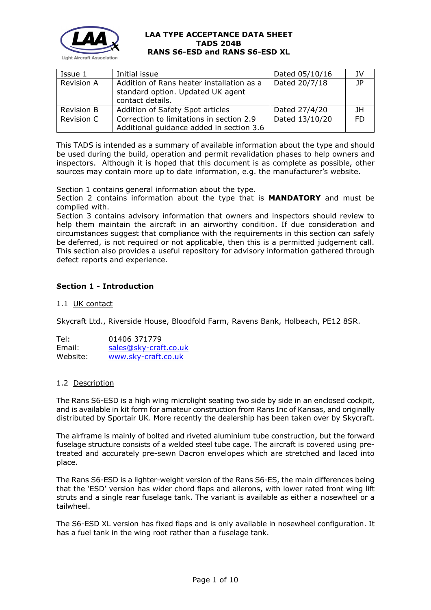

| Issue 1           | Initial issue                                                                                      | Dated 05/10/16 | JV  |
|-------------------|----------------------------------------------------------------------------------------------------|----------------|-----|
| <b>Revision A</b> | Addition of Rans heater installation as a<br>standard option. Updated UK agent<br>contact details. | Dated 20/7/18  | 1P  |
| <b>Revision B</b> | Addition of Safety Spot articles                                                                   | Dated 27/4/20  | JH  |
| Revision C        | Correction to limitations in section 2.9<br>Additional guidance added in section 3.6               | Dated 13/10/20 | FD. |

This TADS is intended as a summary of available information about the type and should be used during the build, operation and permit revalidation phases to help owners and inspectors. Although it is hoped that this document is as complete as possible, other sources may contain more up to date information, e.g. the manufacturer's website.

Section 1 contains general information about the type.

Section 2 contains information about the type that is **MANDATORY** and must be complied with.

Section 3 contains advisory information that owners and inspectors should review to help them maintain the aircraft in an airworthy condition. If due consideration and circumstances suggest that compliance with the requirements in this section can safely be deferred, is not required or not applicable, then this is a permitted judgement call. This section also provides a useful repository for advisory information gathered through defect reports and experience.

# **Section 1 - Introduction**

## 1.1 UK contact

Skycraft Ltd., Riverside House, Bloodfold Farm, Ravens Bank, Holbeach, PE12 8SR.

Tel: 01406 371779 Email: [sales@sky-craft.co.uk](mailto:sales@sky-craft.co.uk) Website: [www.sky-craft.co.uk](http://www.sky-craft.co.uk/)

## 1.2 Description

The Rans S6-ESD is a high wing microlight seating two side by side in an enclosed cockpit, and is available in kit form for amateur construction from Rans Inc of Kansas, and originally distributed by Sportair UK. More recently the dealership has been taken over by Skycraft.

The airframe is mainly of bolted and riveted aluminium tube construction, but the forward fuselage structure consists of a welded steel tube cage. The aircraft is covered using pretreated and accurately pre-sewn Dacron envelopes which are stretched and laced into place.

The Rans S6-ESD is a lighter-weight version of the Rans S6-ES, the main differences being that the 'ESD' version has wider chord flaps and ailerons, with lower rated front wing lift struts and a single rear fuselage tank. The variant is available as either a nosewheel or a tailwheel.

The S6-ESD XL version has fixed flaps and is only available in nosewheel configuration. It has a fuel tank in the wing root rather than a fuselage tank.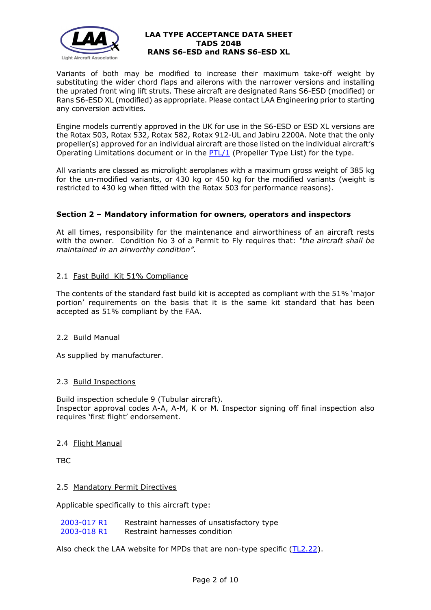

Variants of both may be modified to increase their maximum take-off weight by substituting the wider chord flaps and ailerons with the narrower versions and installing the uprated front wing lift struts. These aircraft are designated Rans S6-ESD (modified) or Rans S6-ESD XL (modified) as appropriate. Please contact LAA Engineering prior to starting any conversion activities.

Engine models currently approved in the UK for use in the S6-ESD or ESD XL versions are the Rotax 503, Rotax 532, Rotax 582, Rotax 912-UL and Jabiru 2200A. Note that the only propeller(s) approved for an individual aircraft are those listed on the individual aircraft's Operating Limitations document or in the  $PTL/1$  (Propeller Type List) for the type.

All variants are classed as microlight aeroplanes with a maximum gross weight of 385 kg for the un-modified variants, or 430 kg or 450 kg for the modified variants (weight is restricted to 430 kg when fitted with the Rotax 503 for performance reasons).

# **Section 2 – Mandatory information for owners, operators and inspectors**

At all times, responsibility for the maintenance and airworthiness of an aircraft rests with the owner. Condition No 3 of a Permit to Fly requires that: *"the aircraft shall be maintained in an airworthy condition".* 

# 2.1 Fast Build Kit 51% Compliance

The contents of the standard fast build kit is accepted as compliant with the 51% 'major portion' requirements on the basis that it is the same kit standard that has been accepted as 51% compliant by the FAA.

## 2.2 Build Manual

As supplied by manufacturer.

## 2.3 Build Inspections

Build inspection schedule 9 (Tubular aircraft). Inspector approval codes A-A, A-M, K or M. Inspector signing off final inspection also requires 'first flight' endorsement.

## 2.4 Flight Manual

TBC

## 2.5 Mandatory Permit Directives

Applicable specifically to this aircraft type:

| 2003-017 R1 | Restraint harnesses of unsatisfactory type |
|-------------|--------------------------------------------|
| 2003-018 R1 | Restraint harnesses condition              |

Also check the LAA website for MPDs that are non-type specific [\(TL2.22\)](http://www.lightaircraftassociation.co.uk/engineering/TechnicalLeaflets/Operating%20An%20Aircraft/TL%202.22%20non-type%20specific%20MPDs.pdf).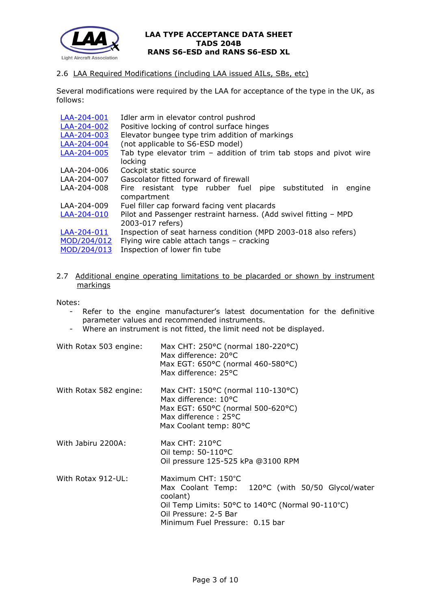

# 2.6 LAA Required Modifications (including LAA issued AILs, SBs, etc)

Several modifications were required by the LAA for acceptance of the type in the UK, as follows:

| LAA-204-001 | Idler arm in elevator control pushrod                              |
|-------------|--------------------------------------------------------------------|
| LAA-204-002 | Positive locking of control surface hinges                         |
| LAA-204-003 | Elevator bungee type trim addition of markings                     |
| LAA-204-004 | (not applicable to S6-ESD model)                                   |
| LAA-204-005 | Tab type elevator trim – addition of trim tab stops and pivot wire |
|             | locking                                                            |
| LAA-204-006 | Cockpit static source                                              |
| LAA-204-007 | Gascolator fitted forward of firewall                              |
| LAA-204-008 | pipe substituted in<br>Fire resistant type rubber fuel<br>engine   |
|             | compartment                                                        |
| LAA-204-009 | Fuel filler cap forward facing vent placards                       |
| LAA-204-010 | Pilot and Passenger restraint harness. (Add swivel fitting - MPD   |
|             | 2003-017 refers)                                                   |
| LAA-204-011 | Inspection of seat harness condition (MPD 2003-018 also refers)    |
| MOD/204/012 | Flying wire cable attach tangs - cracking                          |
| MOD/204/013 | Inspection of lower fin tube                                       |

2.7 Additional engine operating limitations to be placarded or shown by instrument markings

Notes:

- Refer to the engine manufacturer's latest documentation for the definitive parameter values and recommended instruments.
- Where an instrument is not fitted, the limit need not be displayed.

| With Rotax 503 engine: | Max CHT: 250°C (normal 180-220°C)<br>Max difference: 20°C<br>Max EGT: 650°C (normal 460-580°C)<br>Max difference: 25°C                                                                             |
|------------------------|----------------------------------------------------------------------------------------------------------------------------------------------------------------------------------------------------|
| With Rotax 582 engine: | Max CHT: 150°C (normal 110-130°C)<br>Max difference: 10°C<br>Max EGT: 650°C (normal 500-620°C)<br>Max difference: 25°C<br>Max Coolant temp: 80°C                                                   |
| With Jabiru 2200A:     | Max CHT: 210°C<br>Oil temp: $50-110$ °C<br>Oil pressure 125-525 kPa @3100 RPM                                                                                                                      |
| With Rotax 912-UL:     | Maximum CHT: 150°C<br>Max Coolant Temp: 120°C (with 50/50 Glycol/water<br>coolant)<br>Oil Temp Limits: 50°C to 140°C (Normal 90-110°C)<br>Oil Pressure: 2-5 Bar<br>Minimum Fuel Pressure: 0.15 bar |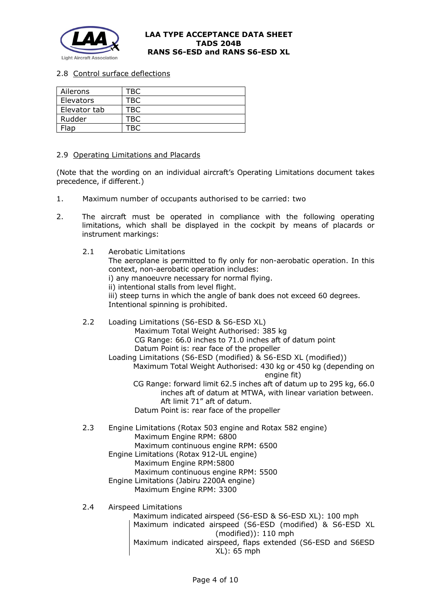

2.8 Control surface deflections

| Ailerons     | TBC |
|--------------|-----|
| Elevators    | ГВС |
| Elevator tab | ſBC |
| Rudder       | BC- |
| Flap         |     |

2.9 Operating Limitations and Placards

(Note that the wording on an individual aircraft's Operating Limitations document takes precedence, if different.)

- 1. Maximum number of occupants authorised to be carried: two
- 2. The aircraft must be operated in compliance with the following operating limitations, which shall be displayed in the cockpit by means of placards or instrument markings:

2.1 Aerobatic Limitations The aeroplane is permitted to fly only for non-aerobatic operation. In this context, non-aerobatic operation includes: i) any manoeuvre necessary for normal flying. ii) intentional stalls from level flight. iii) steep turns in which the angle of bank does not exceed 60 degrees. Intentional spinning is prohibited.

2.2 Loading Limitations (S6-ESD & S6-ESD XL) Maximum Total Weight Authorised: 385 kg CG Range: 66.0 inches to 71.0 inches aft of datum point Datum Point is: rear face of the propeller Loading Limitations (S6-ESD (modified) & S6-ESD XL (modified)) Maximum Total Weight Authorised: 430 kg or 450 kg (depending on engine fit) CG Range: forward limit 62.5 inches aft of datum up to 295 kg, 66.0 inches aft of datum at MTWA, with linear variation between. Aft limit 71" aft of datum. Datum Point is: rear face of the propeller 2.3 Engine Limitations (Rotax 503 engine and Rotax 582 engine) Maximum Engine RPM: 6800 Maximum continuous engine RPM: 6500 Engine Limitations (Rotax 912-UL engine) Maximum Engine RPM:5800

 Maximum continuous engine RPM: 5500 Engine Limitations (Jabiru 2200A engine)

- Maximum Engine RPM: 3300
- 2.4 Airspeed Limitations

Maximum indicated airspeed (S6-ESD & S6-ESD XL): 100 mph Maximum indicated airspeed (S6-ESD (modified) & S6-ESD XL (modified)): 110 mph Maximum indicated airspeed, flaps extended (S6-ESD and S6ESD XL): 65 mph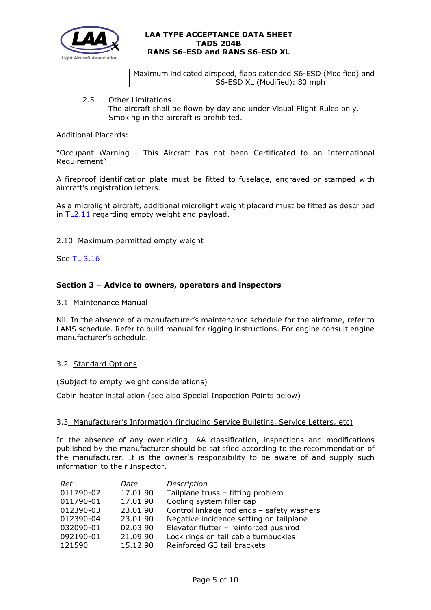

Maximum indicated airspeed, flaps extended S6-ESD (Modified) and S6-ESD XL (Modified): 80 mph

2.5 Other Limitations The aircraft shall be flown by day and under Visual Flight Rules only. Smoking in the aircraft is prohibited.

## Additional Placards:

"Occupant Warning - This Aircraft has not been Certificated to an International Requirement"

A fireproof identification plate must be fitted to fuselage, engraved or stamped with aircraft's registration letters.

As a microlight aircraft, additional microlight weight placard must be fitted as described in [TL2.11](http://mar2013.lightaircraftassociation.co.uk/engineering/TechnicalLeaflets/Operating%20An%20Aircraft/TL%202.11%20Placards%20and%20Labels.pdf) regarding empty weight and payload.

### 2.10 Maximum permitted empty weight

See [TL 3.16](http://www.lightaircraftassociation.co.uk/engineering/TechnicalLeaflets/Mods%20and%20Repairs/TL%203.16%20Weight%20%20Balance%20Guidance%20Notes.pdf)

## **Section 3 – Advice to owners, operators and inspectors**

### 3.1 Maintenance Manual

Nil. In the absence of a manufacturer's maintenance schedule for the airframe, refer to LAMS schedule. Refer to build manual for rigging instructions. For engine consult engine manufacturer's schedule.

#### 3.2 Standard Options

(Subject to empty weight considerations)

Cabin heater installation (see also Special Inspection Points below)

## 3.3 Manufacturer's Information (including Service Bulletins, Service Letters, etc)

In the absence of any over-riding LAA classification, inspections and modifications published by the manufacturer should be satisfied according to the recommendation of the manufacturer. It is the owner's responsibility to be aware of and supply such information to their Inspector.

| Ref       | Date     | Description                               |
|-----------|----------|-------------------------------------------|
| 011790-02 | 17.01.90 | Tailplane truss - fitting problem         |
| 011790-01 | 17.01.90 | Cooling system filler cap                 |
| 012390-03 | 23.01.90 | Control linkage rod ends - safety washers |
| 012390-04 | 23,01,90 | Negative incidence setting on tailplane   |
| 032090-01 | 02.03.90 | Elevator flutter - reinforced pushrod     |
| 092190-01 | 21.09.90 | Lock rings on tail cable turnbuckles      |
| 121590    | 15.12.90 | Reinforced G3 tail brackets               |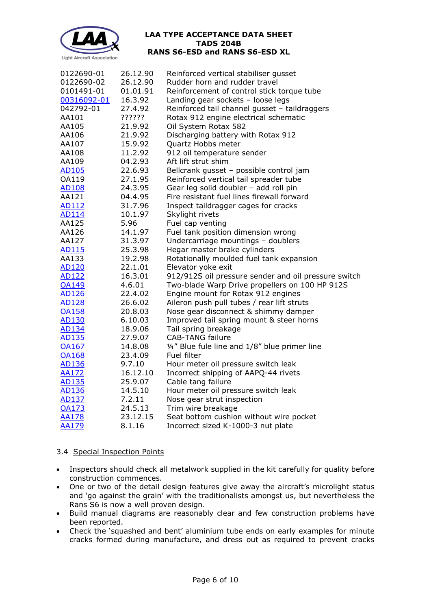

| 0122690-01   | 26.12.90 | Reinforced vertical stabiliser gusset                |
|--------------|----------|------------------------------------------------------|
| 0122690-02   | 26.12.90 | Rudder horn and rudder travel                        |
| 0101491-01   | 01.01.91 | Reinforcement of control stick torque tube           |
| 00316092-01  | 16.3.92  | Landing gear sockets - loose legs                    |
| 042792-01    | 27.4.92  | Reinforced tail channel gusset - taildraggers        |
| AA101        | ??????   | Rotax 912 engine electrical schematic                |
| AA105        | 21.9.92  | Oil System Rotax 582                                 |
| AA106        | 21.9.92  | Discharging battery with Rotax 912                   |
| AA107        | 15.9.92  | Quartz Hobbs meter                                   |
| AA108        | 11.2.92  | 912 oil temperature sender                           |
| AA109        | 04.2.93  | Aft lift strut shim                                  |
| <u>AD105</u> | 22.6.93  | Bellcrank gusset - possible control jam              |
| OA119        | 27.1.95  | Reinforced vertical tail spreader tube               |
| <b>AD108</b> | 24.3.95  | Gear leg solid doubler - add roll pin                |
| AA121        | 04.4.95  | Fire resistant fuel lines firewall forward           |
| AD112        | 31.7.96  | Inspect taildragger cages for cracks                 |
| <b>AD114</b> | 10.1.97  | Skylight rivets                                      |
| AA125        | 5.96     | Fuel cap venting                                     |
| AA126        | 14.1.97  | Fuel tank position dimension wrong                   |
| AA127        | 31.3.97  | Undercarriage mountings - doublers                   |
| AD115        | 25.3.98  | Hegar master brake cylinders                         |
| AA133        | 19.2.98  | Rotationally moulded fuel tank expansion             |
| <b>AD120</b> | 22.1.01  | Elevator yoke exit                                   |
| AD122        | 16.3.01  | 912/912S oil pressure sender and oil pressure switch |
| <b>OA149</b> | 4.6.01   | Two-blade Warp Drive propellers on 100 HP 912S       |
| AD126        | 22.4.02  | Engine mount for Rotax 912 engines                   |
| <b>AD128</b> | 26.6.02  | Aileron push pull tubes / rear lift struts           |
| <b>OA158</b> | 20.8.03  | Nose gear disconnect & shimmy damper                 |
| AD130        | 6.10.03  | Improved tail spring mount & steer horns             |
| AD134        | 18.9.06  | Tail spring breakage                                 |
| AD135        | 27.9.07  | <b>CAB-TANG failure</b>                              |
| <b>OA167</b> | 14.8.08  | 1/4" Blue fule line and 1/8" blue primer line        |
| <b>OA168</b> | 23.4.09  | Fuel filter                                          |
| AD136        | 9.7.10   | Hour meter oil pressure switch leak                  |
| <b>AA172</b> | 16.12.10 | Incorrect shipping of AAPQ-44 rivets                 |
| AD135        | 25.9.07  | Cable tang failure                                   |
| AD136        | 14.5.10  | Hour meter oil pressure switch leak                  |
| AD137        | 7.2.11   | Nose gear strut inspection                           |
| <b>OA173</b> | 24.5.13  | Trim wire breakage                                   |
| <b>AA178</b> | 23.12.15 | Seat bottom cushion without wire pocket              |
| <b>AA179</b> | 8.1.16   | Incorrect sized K-1000-3 nut plate                   |

# 3.4 Special Inspection Points

- Inspectors should check all metalwork supplied in the kit carefully for quality before construction commences.
- One or two of the detail design features give away the aircraft's microlight status and 'go against the grain' with the traditionalists amongst us, but nevertheless the Rans S6 is now a well proven design.
- Build manual diagrams are reasonably clear and few construction problems have been reported.
- Check the 'squashed and bent' aluminium tube ends on early examples for minute cracks formed during manufacture, and dress out as required to prevent cracks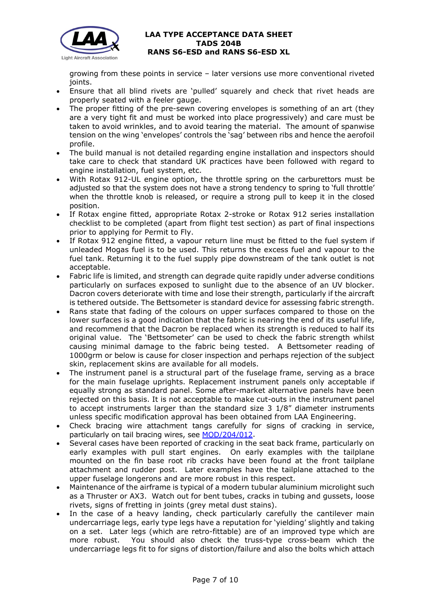

growing from these points in service – later versions use more conventional riveted joints.

- Ensure that all blind rivets are 'pulled' squarely and check that rivet heads are properly seated with a feeler gauge.
- The proper fitting of the pre-sewn covering envelopes is something of an art (they are a very tight fit and must be worked into place progressively) and care must be taken to avoid wrinkles, and to avoid tearing the material. The amount of spanwise tension on the wing 'envelopes' controls the 'sag' between ribs and hence the aerofoil profile.
- The build manual is not detailed regarding engine installation and inspectors should take care to check that standard UK practices have been followed with regard to engine installation, fuel system, etc.
- With Rotax 912-UL engine option, the throttle spring on the carburettors must be adjusted so that the system does not have a strong tendency to spring to 'full throttle' when the throttle knob is released, or require a strong pull to keep it in the closed position.
- If Rotax engine fitted, appropriate Rotax 2-stroke or Rotax 912 series installation checklist to be completed (apart from flight test section) as part of final inspections prior to applying for Permit to Fly.
- If Rotax 912 engine fitted, a vapour return line must be fitted to the fuel system if unleaded Mogas fuel is to be used. This returns the excess fuel and vapour to the fuel tank. Returning it to the fuel supply pipe downstream of the tank outlet is not acceptable.
- Fabric life is limited, and strength can degrade quite rapidly under adverse conditions particularly on surfaces exposed to sunlight due to the absence of an UV blocker. Dacron covers deteriorate with time and lose their strength, particularly if the aircraft is tethered outside. The Bettsometer is standard device for assessing fabric strength.
- Rans state that fading of the colours on upper surfaces compared to those on the lower surfaces is a good indication that the fabric is nearing the end of its useful life, and recommend that the Dacron be replaced when its strength is reduced to half its original value. The 'Bettsometer' can be used to check the fabric strength whilst causing minimal damage to the fabric being tested. A Bettsometer reading of 1000grm or below is cause for closer inspection and perhaps rejection of the subject skin, replacement skins are available for all models.
- The instrument panel is a structural part of the fuselage frame, serving as a brace for the main fuselage uprights. Replacement instrument panels only acceptable if equally strong as standard panel. Some after-market alternative panels have been rejected on this basis. It is not acceptable to make cut-outs in the instrument panel to accept instruments larger than the standard size 3 1/8" diameter instruments unless specific modification approval has been obtained from LAA Engineering.
- Check bracing wire attachment tangs carefully for signs of cracking in service, particularly on tail bracing wires, see [MOD/204/012.](http://www.lightaircraftassociation.co.uk/engineering/TADs/204B/MOD%20204-012.pdf)
- Several cases have been reported of cracking in the seat back frame, particularly on early examples with pull start engines. On early examples with the tailplane mounted on the fin base root rib cracks have been found at the front tailplane attachment and rudder post. Later examples have the tailplane attached to the upper fuselage longerons and are more robust in this respect.
- Maintenance of the airframe is typical of a modern tubular aluminium microlight such as a Thruster or AX3. Watch out for bent tubes, cracks in tubing and gussets, loose rivets, signs of fretting in joints (grey metal dust stains).
- In the case of a heavy landing, check particularly carefully the cantilever main undercarriage legs, early type legs have a reputation for 'yielding' slightly and taking on a set. Later legs (which are retro-fittable) are of an improved type which are more robust. You should also check the truss-type cross-beam which the undercarriage legs fit to for signs of distortion/failure and also the bolts which attach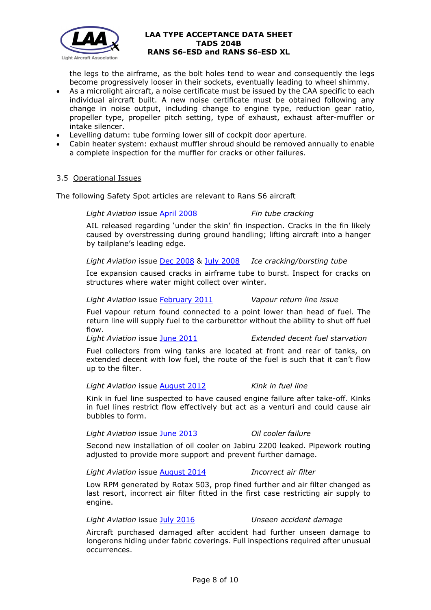

the legs to the airframe, as the bolt holes tend to wear and consequently the legs become progressively looser in their sockets, eventually leading to wheel shimmy.

- As a microlight aircraft, a noise certificate must be issued by the CAA specific to each individual aircraft built. A new noise certificate must be obtained following any change in noise output, including change to engine type, reduction gear ratio, propeller type, propeller pitch setting, type of exhaust, exhaust after-muffler or intake silencer.
- Levelling datum: tube forming lower sill of cockpit door aperture.
- Cabin heater system: exhaust muffler shroud should be removed annually to enable a complete inspection for the muffler for cracks or other failures.

#### 3.5 Operational Issues

The following Safety Spot articles are relevant to Rans S6 aircraft

### *Light Aviation* issue [April 2008](http://www.lightaircraftassociation.co.uk/engineering/SafetyIssues/SafetySpotApril08.pdf) *Fin tube cracking*

# AIL released regarding 'under the skin' fin inspection. Cracks in the fin likely caused by overstressing during ground handling; lifting aircraft into a hanger by tailplane's leading edge.

*Light Aviation* issue [Dec 2008](http://www.lightaircraftassociation.co.uk/engineering/SafetyIssues/SafetySpotDec08.pdf) & [July 2008](http://www.lightaircraftassociation.co.uk/engineering/SafetyIssues/SafetySpotJuly08.pdf) *Ice cracking/bursting tube*

Ice expansion caused cracks in airframe tube to burst. Inspect for cracks on structures where water might collect over winter.

*Light Aviation* issue [February 2011](http://www.lightaircraftassociation.co.uk/2010/Magazine/2011/Feb/Safety_Spot.pdf) *Vapour return line issue*

Fuel vapour return found connected to a point lower than head of fuel. The return line will supply fuel to the carburettor without the ability to shut off fuel flow.

*Light Aviation* issue [June 2011](http://www.lightaircraftassociation.co.uk/2011/Magazine/June/safety%20spot.pdf) *Extended decent fuel starvation*

Fuel collectors from wing tanks are located at front and rear of tanks, on extended decent with low fuel, the route of the fuel is such that it can't flow up to the filter.

*Light Aviation* issue [August 2012](http://www.lightaircraftassociation.co.uk/2012/Magazine/August/safety_spot.pdf) *Kink in fuel line*

Kink in fuel line suspected to have caused engine failure after take-off. Kinks in fuel lines restrict flow effectively but act as a venturi and could cause air bubbles to form.

*Light Aviation* issue [June 2013](http://www.lightaircraftassociation.co.uk/2013/Magazine/June/safety_spot.pdf) *Oil cooler failure*

Second new installation of oil cooler on Jabiru 2200 leaked. Pipework routing adjusted to provide more support and prevent further damage.

*Light Aviation* issue [August 2014](http://www.lightaircraftassociation.co.uk/2014/Mag/Aug/Safety%20Spot.pdf) *Incorrect air filter*

Low RPM generated by Rotax 503, prop fined further and air filter changed as last resort, incorrect air filter fitted in the first case restricting air supply to engine.

*Light Aviation* issue [July 2016](http://www.lightaircraftassociation.co.uk/2016/Magazine/Jul/safety_spot.pdf) *Unseen accident damage*

Aircraft purchased damaged after accident had further unseen damage to longerons hiding under fabric coverings. Full inspections required after unusual occurrences.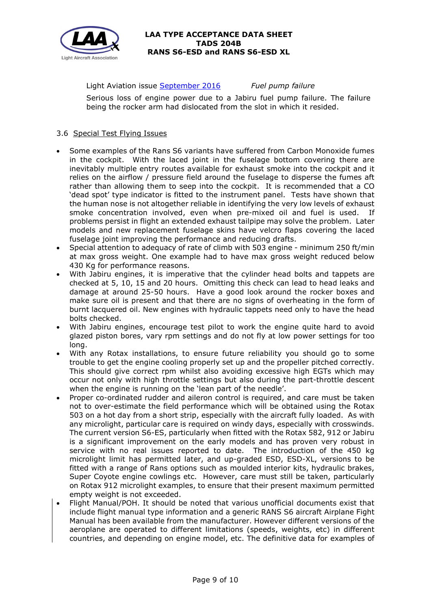

Light Aviation issue [September 2016](http://www.lightaircraftassociation.co.uk/2016/Magazine/Sep/safety_spot.pdf) *Fuel pump failure*

Serious loss of engine power due to a Jabiru fuel pump failure. The failure being the rocker arm had dislocated from the slot in which it resided.

# 3.6 Special Test Flying Issues

- Some examples of the Rans S6 variants have suffered from Carbon Monoxide fumes in the cockpit. With the laced joint in the fuselage bottom covering there are inevitably multiple entry routes available for exhaust smoke into the cockpit and it relies on the airflow / pressure field around the fuselage to disperse the fumes aft rather than allowing them to seep into the cockpit. It is recommended that a CO 'dead spot' type indicator is fitted to the instrument panel. Tests have shown that the human nose is not altogether reliable in identifying the very low levels of exhaust smoke concentration involved, even when pre-mixed oil and fuel is used. If problems persist in flight an extended exhaust tailpipe may solve the problem. Later models and new replacement fuselage skins have velcro flaps covering the laced fuselage joint improving the performance and reducing drafts.
- Special attention to adequacy of rate of climb with 503 engine minimum 250 ft/min at max gross weight. One example had to have max gross weight reduced below 430 Kg for performance reasons.
- With Jabiru engines, it is imperative that the cylinder head bolts and tappets are checked at 5, 10, 15 and 20 hours. Omitting this check can lead to head leaks and damage at around 25-50 hours. Have a good look around the rocker boxes and make sure oil is present and that there are no signs of overheating in the form of burnt lacquered oil. New engines with hydraulic tappets need only to have the head bolts checked.
- With Jabiru engines, encourage test pilot to work the engine quite hard to avoid glazed piston bores, vary rpm settings and do not fly at low power settings for too long.
- With any Rotax installations, to ensure future reliability you should go to some trouble to get the engine cooling properly set up and the propeller pitched correctly. This should give correct rpm whilst also avoiding excessive high EGTs which may occur not only with high throttle settings but also during the part-throttle descent when the engine is running on the 'lean part of the needle'.
- Proper co-ordinated rudder and aileron control is required, and care must be taken not to over-estimate the field performance which will be obtained using the Rotax 503 on a hot day from a short strip, especially with the aircraft fully loaded. As with any microlight, particular care is required on windy days, especially with crosswinds. The current version S6-ES, particularly when fitted with the Rotax 582, 912 or Jabiru is a significant improvement on the early models and has proven very robust in service with no real issues reported to date. The introduction of the 450 kg microlight limit has permitted later, and up-graded ESD, ESD-XL, versions to be fitted with a range of Rans options such as moulded interior kits, hydraulic brakes, Super Coyote engine cowlings etc. However, care must still be taken, particularly on Rotax 912 microlight examples, to ensure that their present maximum permitted empty weight is not exceeded.
- Flight Manual/POH. It should be noted that various unofficial documents exist that include flight manual type information and a generic RANS S6 aircraft Airplane Fight Manual has been available from the manufacturer. However different versions of the aeroplane are operated to different limitations (speeds, weights, etc) in different countries, and depending on engine model, etc. The definitive data for examples of